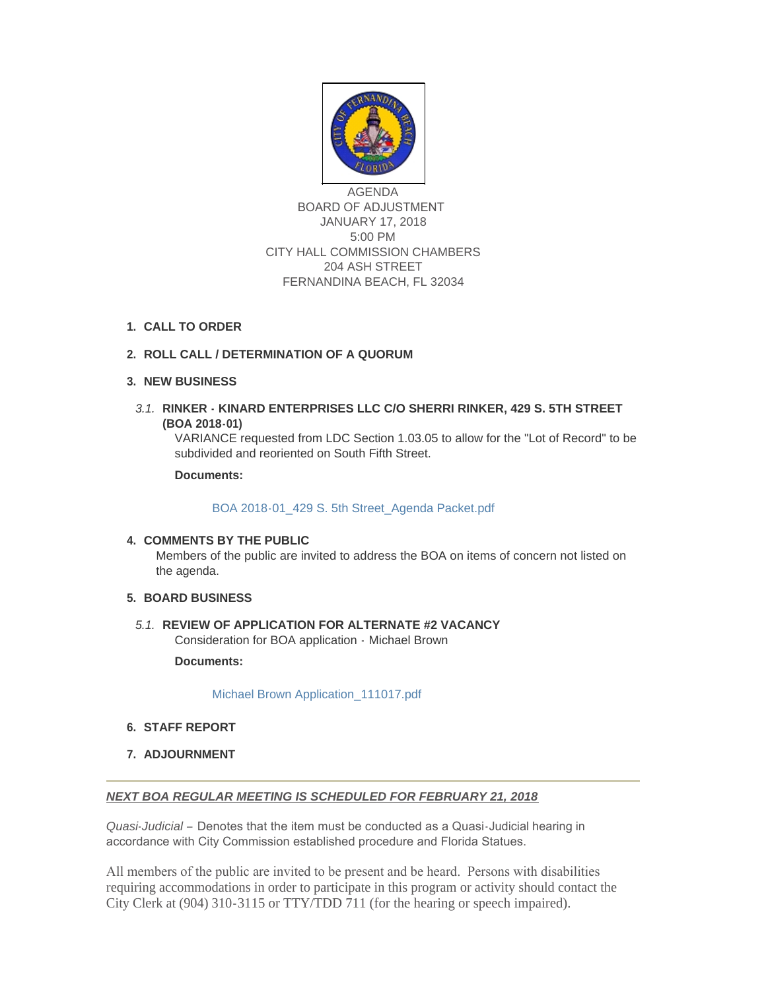

AGENDA BOARD OF ADJUSTMENT JANUARY 17, 2018 5:00 PM CITY HALL COMMISSION CHAMBERS 204 ASH STREET FERNANDINA BEACH, FL 32034

**CALL TO ORDER 1.**

# **ROLL CALL / DETERMINATION OF A QUORUM 2.**

### **NEW BUSINESS 3.**

**RINKER - KINARD ENTERPRISES LLC C/O SHERRI RINKER, 429 S. 5TH STREET**  *3.1.* **(BOA 2018-01)**

VARIANCE requested from LDC Section 1.03.05 to allow for the "Lot of Record" to be subdivided and reoriented on South Fifth Street.

**Documents:**

[BOA 2018-01\\_429 S. 5th Street\\_Agenda Packet.pdf](http://fl-fernandinabeach3.civicplus.com/AgendaCenter/ViewFile/Item/8587?fileID=5524)

#### **COMMENTS BY THE PUBLIC 4.**

Members of the public are invited to address the BOA on items of concern not listed on the agenda.

#### **BOARD BUSINESS 5.**

5.1. REVIEW OF APPLICATION FOR ALTERNATE #2 VACANCY Consideration for BOA application - Michael Brown

**Documents:**

[Michael Brown Application\\_111017.pdf](http://fl-fernandinabeach3.civicplus.com/AgendaCenter/ViewFile/Item/8502?fileID=5523)

- **STAFF REPORT 6.**
- **ADJOURNMENT 7.**

## *NEXT BOA REGULAR MEETING IS SCHEDULED FOR FEBRUARY 21, 2018*

*Quasi-Judicial* – Denotes that the item must be conducted as a Quasi-Judicial hearing in accordance with City Commission established procedure and Florida Statues.

All members of the public are invited to be present and be heard. Persons with disabilities requiring accommodations in order to participate in this program or activity should contact the City Clerk at (904) 310-3115 or TTY/TDD 711 (for the hearing or speech impaired).